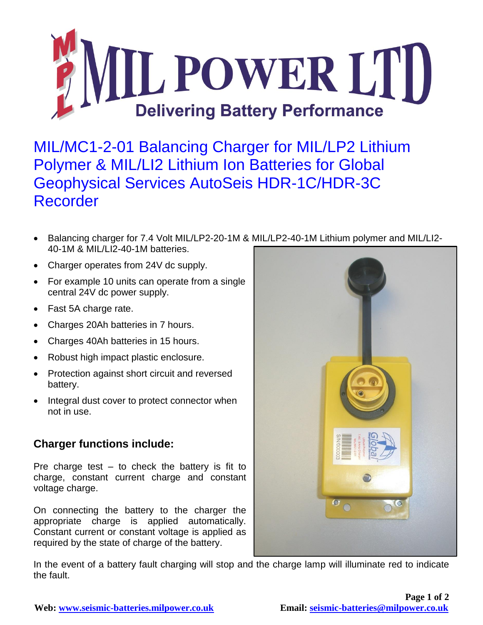

MIL/MC1-2-01 Balancing Charger for MIL/LP2 Lithium Polymer & MIL/LI2 Lithium Ion Batteries for Global Geophysical Services AutoSeis HDR-1C/HDR-3C Recorder

- Balancing charger for 7.4 Volt MIL/LP2-20-1M & MIL/LP2-40-1M Lithium polymer and MIL/LI2- 40-1M & MIL/LI2-40-1M batteries.
- Charger operates from 24V dc supply.
- For example 10 units can operate from a single central 24V dc power supply.
- Fast 5A charge rate.
- Charges 20Ah batteries in 7 hours.
- Charges 40Ah batteries in 15 hours.
- Robust high impact plastic enclosure.
- Protection against short circuit and reversed battery.
- Integral dust cover to protect connector when not in use.

## **Charger functions include:**

Pre charge test  $-$  to check the battery is fit to charge, constant current charge and constant voltage charge.

On connecting the battery to the charger the appropriate charge is applied automatically. Constant current or constant voltage is applied as required by the state of charge of the battery.



In the event of a battery fault charging will stop and the charge lamp will illuminate red to indicate the fault.